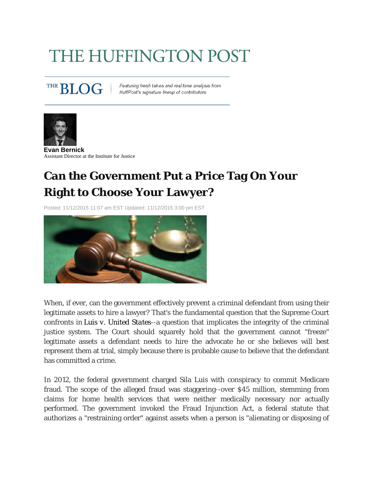## THE HUFFINGTON POST

THE BLOG

Featuring fresh takes and real-time analysis from HuffPost's signature lineup of contributors



**Evan Bernick** Assistant Director at the Institute for Justice

## **Can the Government Put a Price Tag On Your Right to Choose Your Lawyer?**

Posted: 11/12/2015 11:07 am EST Updated: 11/12/2015 3:00 pm EST



When, if ever, can the government effectively prevent a criminal defendant from using their legitimate assets to hire a lawyer? That's the fundamental question that the Supreme Court confronts in *Luis v. United States*--a question that implicates the integrity of the criminal justice system. The Court should squarely hold that the government cannot "freeze" legitimate assets a defendant needs to hire the advocate he or she believes will best represent them at trial, simply because there is probable cause to believe that the defendant has committed a crime.

In 2012, the federal government charged Sila Luis with conspiracy to commit Medicare fraud. The scope of the alleged fraud was staggering--over \$45 million, stemming from claims for home health services that were neither medically necessary nor actually performed. The government invoked the Fraud Injunction Act, a federal statute that authorizes a "restraining order" against assets when a person is "alienating or disposing of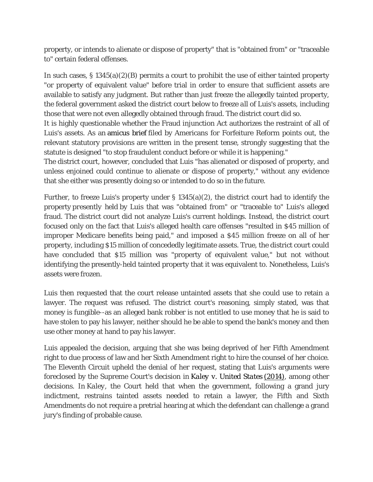property, or intends to alienate or dispose of property" that is "obtained from" or "traceable to" certain federal offenses.

In such cases,  $\S 1345(a)(2)(B)$  permits a court to prohibit the use of either tainted property "or property of equivalent value" before trial in order to ensure that sufficient assets are available to satisfy any judgment. But rather than just freeze the allegedly tainted property, the federal government asked the district court below to freeze *all* of Luis's assets, including those that were not even allegedly obtained through fraud. The district court did so.

It is highly questionable whether the Fraud injunction Act authorizes the restraint of all of Luis's assets. As an amicus brief filed by Americans for Forfeiture Reform points out, the relevant statutory provisions are written in the present tense, strongly suggesting that the statute is designed "to stop fraudulent conduct before or while it is happening."

The district court, however, concluded that Luis "has alienated or disposed of property, and unless enjoined could continue to alienate or dispose of property," without any evidence that she either was presently doing so or intended to do so in the future.

Further, to freeze Luis's property under § 1345(a)(2), the district court had to identify the property *presently held* by Luis that was "obtained from" or "traceable to" Luis's alleged fraud. The district court did not analyze Luis's current holdings. Instead, the district court focused only on the fact that Luis's alleged health care offenses "resulted in \$45 million of improper Medicare benefits being paid," and imposed a \$45 million freeze on all of her property, including \$15 million of concededly legitimate assets. True, the district court could have concluded that \$15 million was "property of equivalent value," but not without identifying the presently-held tainted property that it was equivalent *to*. Nonetheless, Luis's assets were frozen.

Luis then requested that the court release untainted assets that she could use to retain a lawyer. The request was refused. The district court's reasoning, simply stated, was that money is fungible--as an alleged bank robber is not entitled to use money that he is said to have stolen to pay his lawyer, neither should he be able to spend the bank's money and then use other money at hand to pay his lawyer.

Luis appealed the decision, arguing that she was being deprived of her Fifth Amendment right to due process of law and her Sixth Amendment right to hire the counsel of her choice. The Eleventh Circuit upheld the denial of her request, stating that Luis's arguments were foreclosed by the Supreme Court's decision in *Kaley v. United States* (2014), among other decisions. In *Kaley*, the Court held that when the government, following a grand jury indictment, restrains tainted assets needed to retain a lawyer, the Fifth and Sixth Amendments do not require a pretrial hearing at which the defendant can challenge a grand jury's finding of probable cause.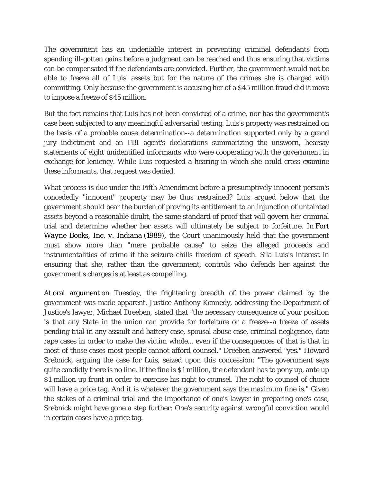The government has an undeniable interest in preventing criminal defendants from spending ill-gotten gains before a judgment can be reached and thus ensuring that victims can be compensated if the defendants are convicted. Further, the government would not be able to freeze all of Luis' assets but for the nature of the crimes she is charged with committing. Only because the government is accusing her of a \$45 million fraud did it move to impose a freeze of \$45 million.

But the fact remains that Luis has not been convicted of a crime, nor has the government's case been subjected to any meaningful adversarial testing. Luis's property was restrained on the basis of a probable cause determination--a determination supported only by a grand jury indictment and an FBI agent's declarations summarizing the unsworn, hearsay statements of eight unidentified informants who were cooperating with the government in exchange for leniency. While Luis requested a hearing in which she could cross-examine these informants, that request was denied.

What process is due under the Fifth Amendment before a presumptively innocent person's concededly "innocent" property may be thus restrained? Luis argued below that the government should bear the burden of proving its entitlement to an injunction of untainted assets beyond a reasonable doubt, the same standard of proof that will govern her criminal trial and determine whether her assets will ultimately be subject to forfeiture. In *Fort Wayne Books, Inc. v. Indiana* (1989), the Court unanimously held that the government must show more than "mere probable cause" to seize the alleged proceeds and instrumentalities of crime if the seizure chills freedom of speech. Sila Luis's interest in ensuring that she, rather than the government, controls who defends her against the government's charges is at least as compelling.

At oral argument on Tuesday, the frightening breadth of the power claimed by the government was made apparent. Justice Anthony Kennedy, addressing the Department of Justice's lawyer, Michael Dreeben, stated that "the necessary consequence of your position is that any State in the union can provide for forfeiture or a freeze--a freeze of assets pending trial in any assault and battery case, spousal abuse case, criminal negligence, date rape cases in order to make the victim whole... even if the consequences of that is that in most of those cases most people cannot afford counsel." Dreeben answered "yes." Howard Srebnick, arguing the case for Luis, seized upon this concession: "The government says quite candidly there is no line. If the fine is \$1 million, the defendant has to pony up, ante up \$1 million up front in order to exercise his right to counsel. The right to counsel of choice will have a price tag. And it is whatever the government says the maximum fine is." Given the stakes of a criminal trial and the importance of one's lawyer in preparing one's case, Srebnick might have gone a step further: One's security against wrongful conviction would in certain cases have a price tag.